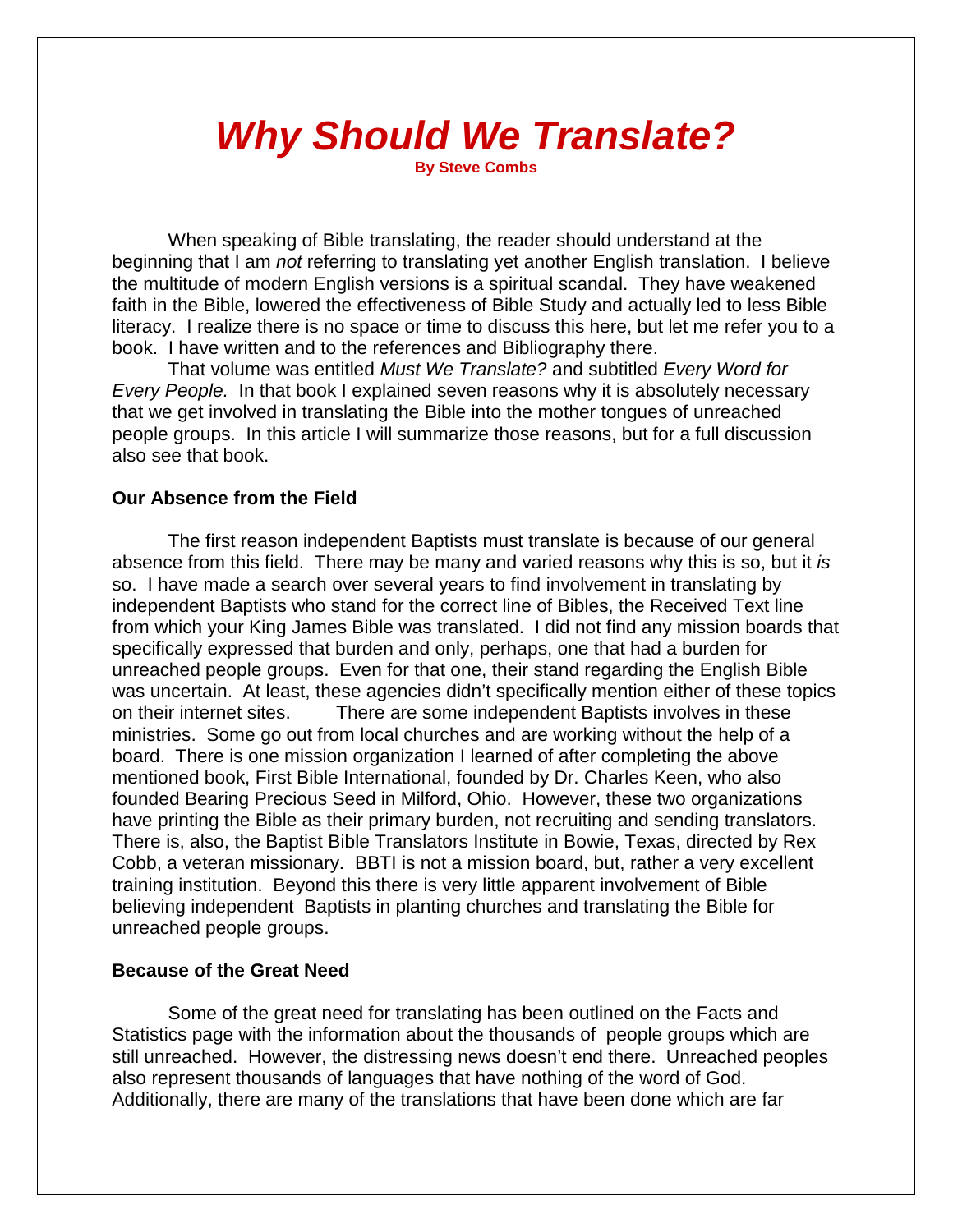# *Why Should We Translate?*

**By Steve Combs**

When speaking of Bible translating, the reader should understand at the beginning that I am *not* referring to translating yet another English translation. I believe the multitude of modern English versions is a spiritual scandal. They have weakened faith in the Bible, lowered the effectiveness of Bible Study and actually led to less Bible literacy. I realize there is no space or time to discuss this here, but let me refer you to a book. I have written and to the references and Bibliography there.

That volume was entitled *Must We Translate?* and subtitled *Every Word for Every People.* In that book I explained seven reasons why it is absolutely necessary that we get involved in translating the Bible into the mother tongues of unreached people groups. In this article I will summarize those reasons, but for a full discussion also see that book.

# **Our Absence from the Field**

The first reason independent Baptists must translate is because of our general absence from this field. There may be many and varied reasons why this is so, but it *is* so. I have made a search over several years to find involvement in translating by independent Baptists who stand for the correct line of Bibles, the Received Text line from which your King James Bible was translated. I did not find any mission boards that specifically expressed that burden and only, perhaps, one that had a burden for unreached people groups. Even for that one, their stand regarding the English Bible was uncertain. At least, these agencies didn't specifically mention either of these topics on their internet sites. There are some independent Baptists involves in these ministries. Some go out from local churches and are working without the help of a board. There is one mission organization I learned of after completing the above mentioned book, First Bible International, founded by Dr. Charles Keen, who also founded Bearing Precious Seed in Milford, Ohio. However, these two organizations have printing the Bible as their primary burden, not recruiting and sending translators. There is, also, the Baptist Bible Translators Institute in Bowie, Texas, directed by Rex Cobb, a veteran missionary. BBTI is not a mission board, but, rather a very excellent training institution. Beyond this there is very little apparent involvement of Bible believing independent Baptists in planting churches and translating the Bible for unreached people groups.

### **Because of the Great Need**

Some of the great need for translating has been outlined on the Facts and Statistics page with the information about the thousands of people groups which are still unreached. However, the distressing news doesn't end there. Unreached peoples also represent thousands of languages that have nothing of the word of God. Additionally, there are many of the translations that have been done which are far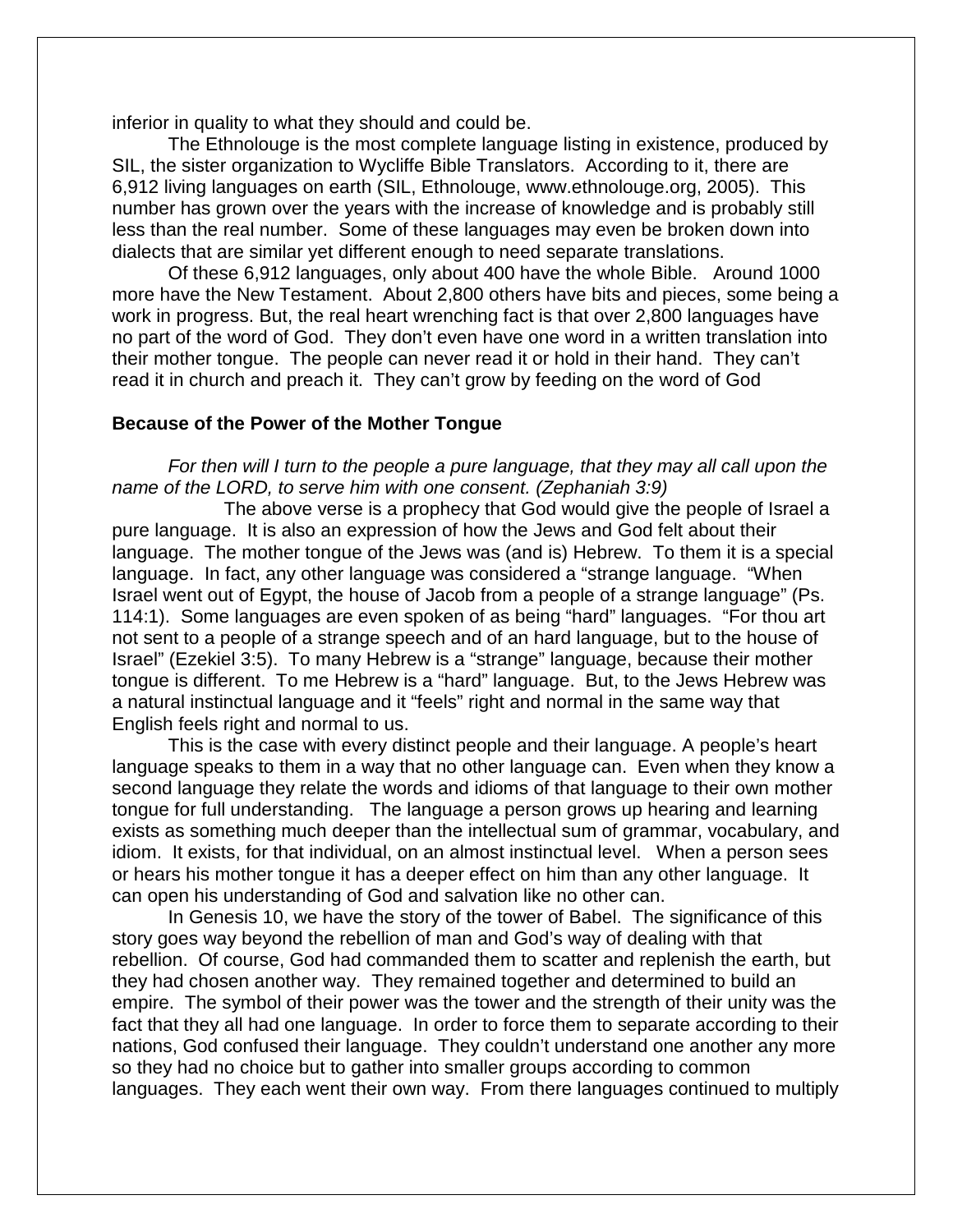inferior in quality to what they should and could be.

The Ethnolouge is the most complete language listing in existence, produced by SIL, the sister organization to Wycliffe Bible Translators. According to it, there are 6,912 living languages on earth (SIL, Ethnolouge, [www.ethnolouge.org,](http://www.ethnolug.org,/) 2005). This number has grown over the years with the increase of knowledge and is probably still less than the real number. Some of these languages may even be broken down into dialects that are similar yet different enough to need separate translations.

Of these 6,912 languages, only about 400 have the whole Bible. Around 1000 more have the New Testament. About 2,800 others have bits and pieces, some being a work in progress. But, the real heart wrenching fact is that over 2,800 languages have no part of the word of God. They don't even have one word in a written translation into their mother tongue. The people can never read it or hold in their hand. They can't read it in church and preach it. They can't grow by feeding on the word of God

#### **Because of the Power of the Mother Tongue**

*For then will I turn to the people a pure language, that they may all call upon the name of the LORD, to serve him with one consent. (Zephaniah 3:9)*

The above verse is a prophecy that God would give the people of Israel a pure language. It is also an expression of how the Jews and God felt about their language. The mother tongue of the Jews was (and is) Hebrew. To them it is a special language. In fact, any other language was considered a "strange language. "When Israel went out of Egypt, the house of Jacob from a people of a strange language" (Ps. 114:1). Some languages are even spoken of as being "hard" languages. "For thou art not sent to a people of a strange speech and of an hard language, but to the house of Israel" (Ezekiel 3:5). To many Hebrew is a "strange" language, because their mother tongue is different. To me Hebrew is a "hard" language. But, to the Jews Hebrew was a natural instinctual language and it "feels" right and normal in the same way that English feels right and normal to us.

This is the case with every distinct people and their language. A people's heart language speaks to them in a way that no other language can. Even when they know a second language they relate the words and idioms of that language to their own mother tongue for full understanding. The language a person grows up hearing and learning exists as something much deeper than the intellectual sum of grammar, vocabulary, and idiom. It exists, for that individual, on an almost instinctual level. When a person sees or hears his mother tongue it has a deeper effect on him than any other language. It can open his understanding of God and salvation like no other can.

In Genesis 10, we have the story of the tower of Babel. The significance of this story goes way beyond the rebellion of man and God's way of dealing with that rebellion. Of course, God had commanded them to scatter and replenish the earth, but they had chosen another way. They remained together and determined to build an empire. The symbol of their power was the tower and the strength of their unity was the fact that they all had one language. In order to force them to separate according to their nations, God confused their language. They couldn't understand one another any more so they had no choice but to gather into smaller groups according to common languages. They each went their own way. From there languages continued to multiply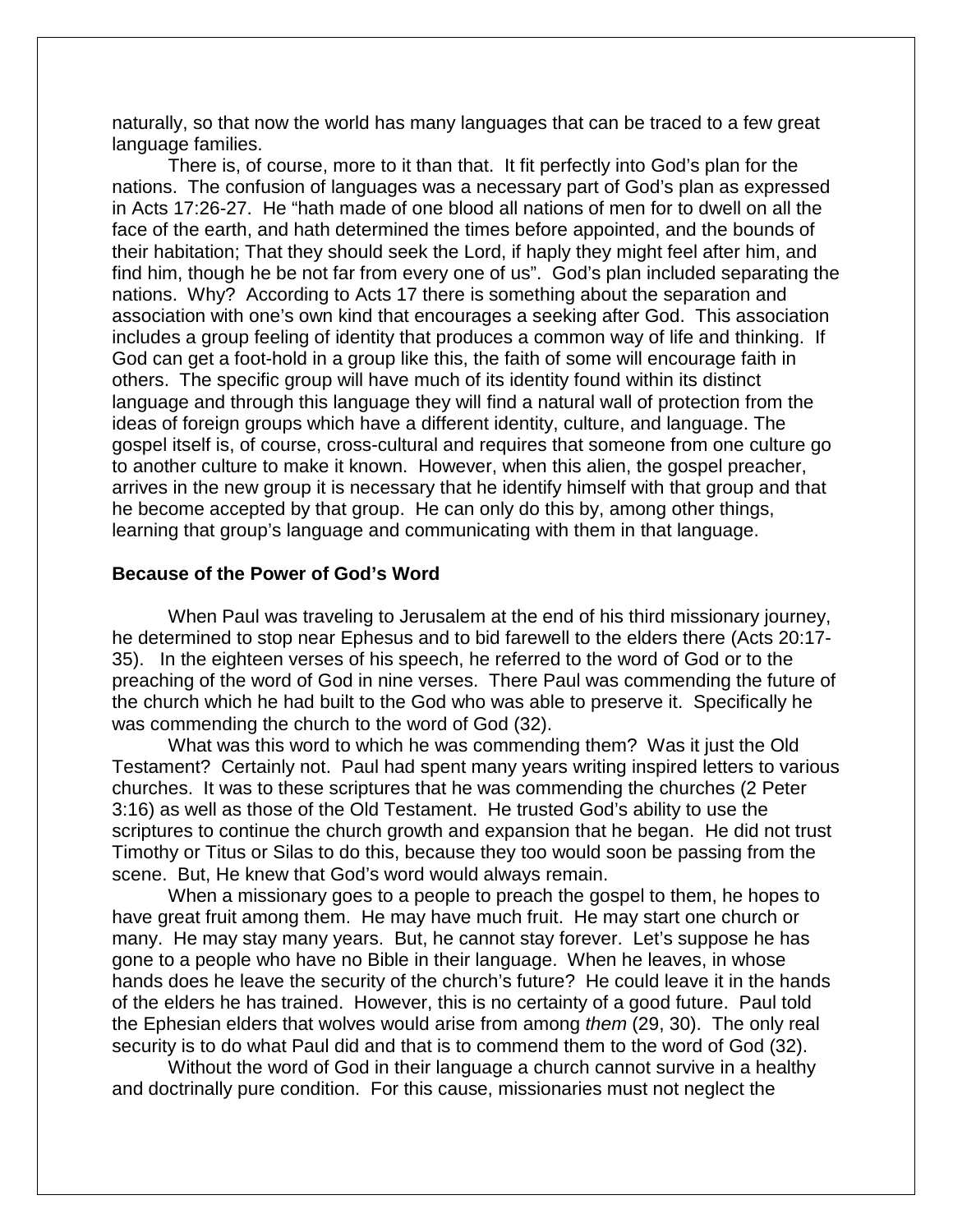naturally, so that now the world has many languages that can be traced to a few great language families.

There is, of course, more to it than that. It fit perfectly into God's plan for the nations. The confusion of languages was a necessary part of God's plan as expressed in Acts 17:26-27. He "hath made of one blood all nations of men for to dwell on all the face of the earth, and hath determined the times before appointed, and the bounds of their habitation; That they should seek the Lord, if haply they might feel after him, and find him, though he be not far from every one of us". God's plan included separating the nations. Why? According to Acts 17 there is something about the separation and association with one's own kind that encourages a seeking after God. This association includes a group feeling of identity that produces a common way of life and thinking. If God can get a foot-hold in a group like this, the faith of some will encourage faith in others. The specific group will have much of its identity found within its distinct language and through this language they will find a natural wall of protection from the ideas of foreign groups which have a different identity, culture, and language. The gospel itself is, of course, cross-cultural and requires that someone from one culture go to another culture to make it known. However, when this alien, the gospel preacher, arrives in the new group it is necessary that he identify himself with that group and that he become accepted by that group. He can only do this by, among other things, learning that group's language and communicating with them in that language.

## **Because of the Power of God's Word**

When Paul was traveling to Jerusalem at the end of his third missionary journey, he determined to stop near Ephesus and to bid farewell to the elders there (Acts 20:17- 35). In the eighteen verses of his speech, he referred to the word of God or to the preaching of the word of God in nine verses. There Paul was commending the future of the church which he had built to the God who was able to preserve it. Specifically he was commending the church to the word of God (32).

What was this word to which he was commending them? Was it just the Old Testament? Certainly not. Paul had spent many years writing inspired letters to various churches. It was to these scriptures that he was commending the churches (2 Peter 3:16) as well as those of the Old Testament. He trusted God's ability to use the scriptures to continue the church growth and expansion that he began. He did not trust Timothy or Titus or Silas to do this, because they too would soon be passing from the scene. But, He knew that God's word would always remain.

When a missionary goes to a people to preach the gospel to them, he hopes to have great fruit among them. He may have much fruit. He may start one church or many. He may stay many years. But, he cannot stay forever. Let's suppose he has gone to a people who have no Bible in their language. When he leaves, in whose hands does he leave the security of the church's future? He could leave it in the hands of the elders he has trained. However, this is no certainty of a good future. Paul told the Ephesian elders that wolves would arise from among *them* (29, 30). The only real security is to do what Paul did and that is to commend them to the word of God (32).

Without the word of God in their language a church cannot survive in a healthy and doctrinally pure condition. For this cause, missionaries must not neglect the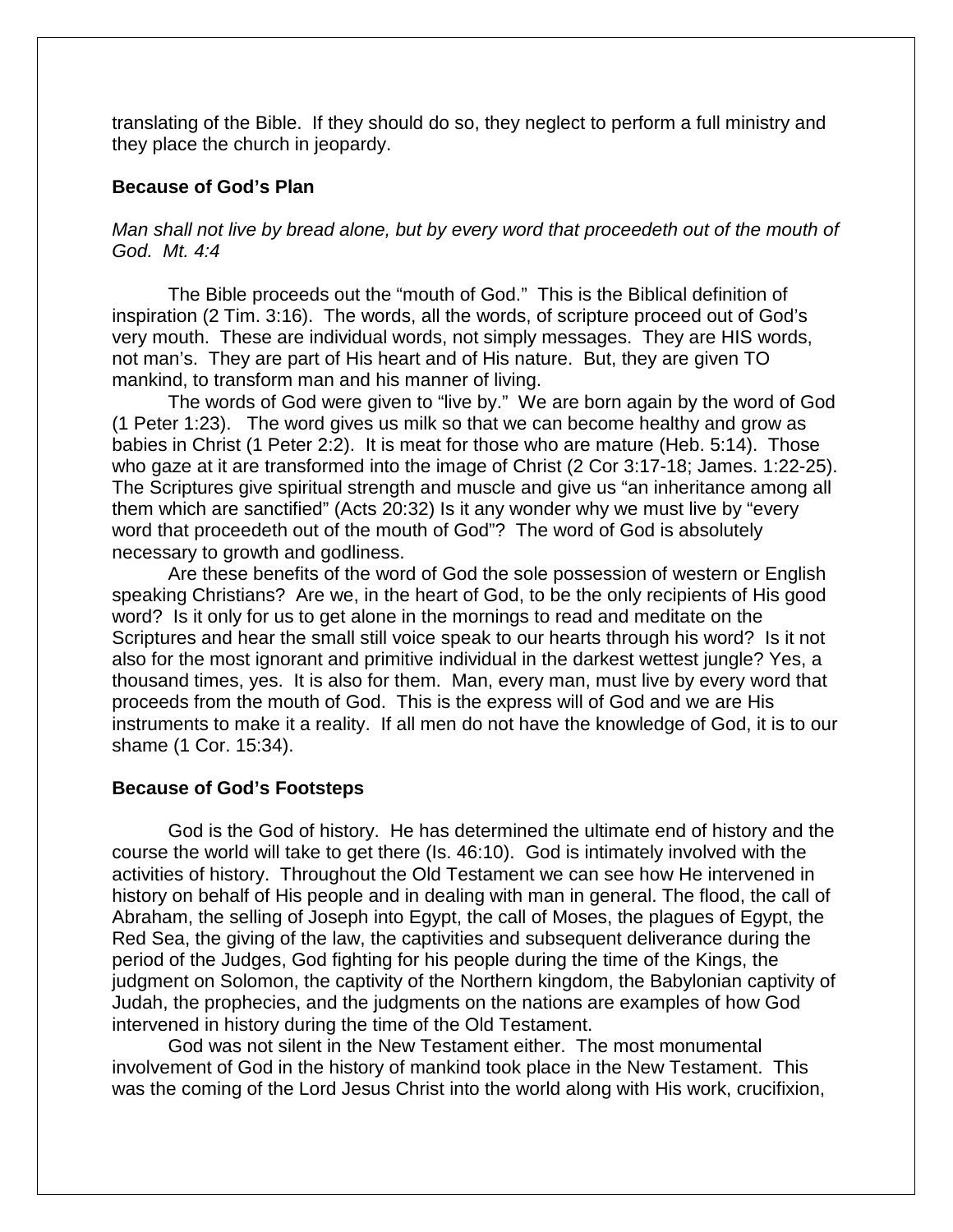translating of the Bible. If they should do so, they neglect to perform a full ministry and they place the church in jeopardy.

## **Because of God's Plan**

# *Man shall not live by bread alone, but by every word that proceedeth out of the mouth of God. Mt. 4:4*

The Bible proceeds out the "mouth of God." This is the Biblical definition of inspiration (2 Tim. 3:16). The words, all the words, of scripture proceed out of God's very mouth. These are individual words, not simply messages. They are HIS words, not man's. They are part of His heart and of His nature. But, they are given TO mankind, to transform man and his manner of living.

The words of God were given to "live by." We are born again by the word of God (1 Peter 1:23). The word gives us milk so that we can become healthy and grow as babies in Christ (1 Peter 2:2). It is meat for those who are mature (Heb. 5:14). Those who gaze at it are transformed into the image of Christ (2 Cor 3:17-18; James. 1:22-25). The Scriptures give spiritual strength and muscle and give us "an inheritance among all them which are sanctified" (Acts 20:32) Is it any wonder why we must live by "every word that proceedeth out of the mouth of God"? The word of God is absolutely necessary to growth and godliness.

Are these benefits of the word of God the sole possession of western or English speaking Christians? Are we, in the heart of God, to be the only recipients of His good word? Is it only for us to get alone in the mornings to read and meditate on the Scriptures and hear the small still voice speak to our hearts through his word? Is it not also for the most ignorant and primitive individual in the darkest wettest jungle? Yes, a thousand times, yes. It is also for them. Man, every man, must live by every word that proceeds from the mouth of God. This is the express will of God and we are His instruments to make it a reality. If all men do not have the knowledge of God, it is to our shame (1 Cor. 15:34).

### **Because of God's Footsteps**

God is the God of history. He has determined the ultimate end of history and the course the world will take to get there (Is. 46:10). God is intimately involved with the activities of history. Throughout the Old Testament we can see how He intervened in history on behalf of His people and in dealing with man in general. The flood, the call of Abraham, the selling of Joseph into Egypt, the call of Moses, the plagues of Egypt, the Red Sea, the giving of the law, the captivities and subsequent deliverance during the period of the Judges, God fighting for his people during the time of the Kings, the judgment on Solomon, the captivity of the Northern kingdom, the Babylonian captivity of Judah, the prophecies, and the judgments on the nations are examples of how God intervened in history during the time of the Old Testament.

God was not silent in the New Testament either. The most monumental involvement of God in the history of mankind took place in the New Testament. This was the coming of the Lord Jesus Christ into the world along with His work, crucifixion,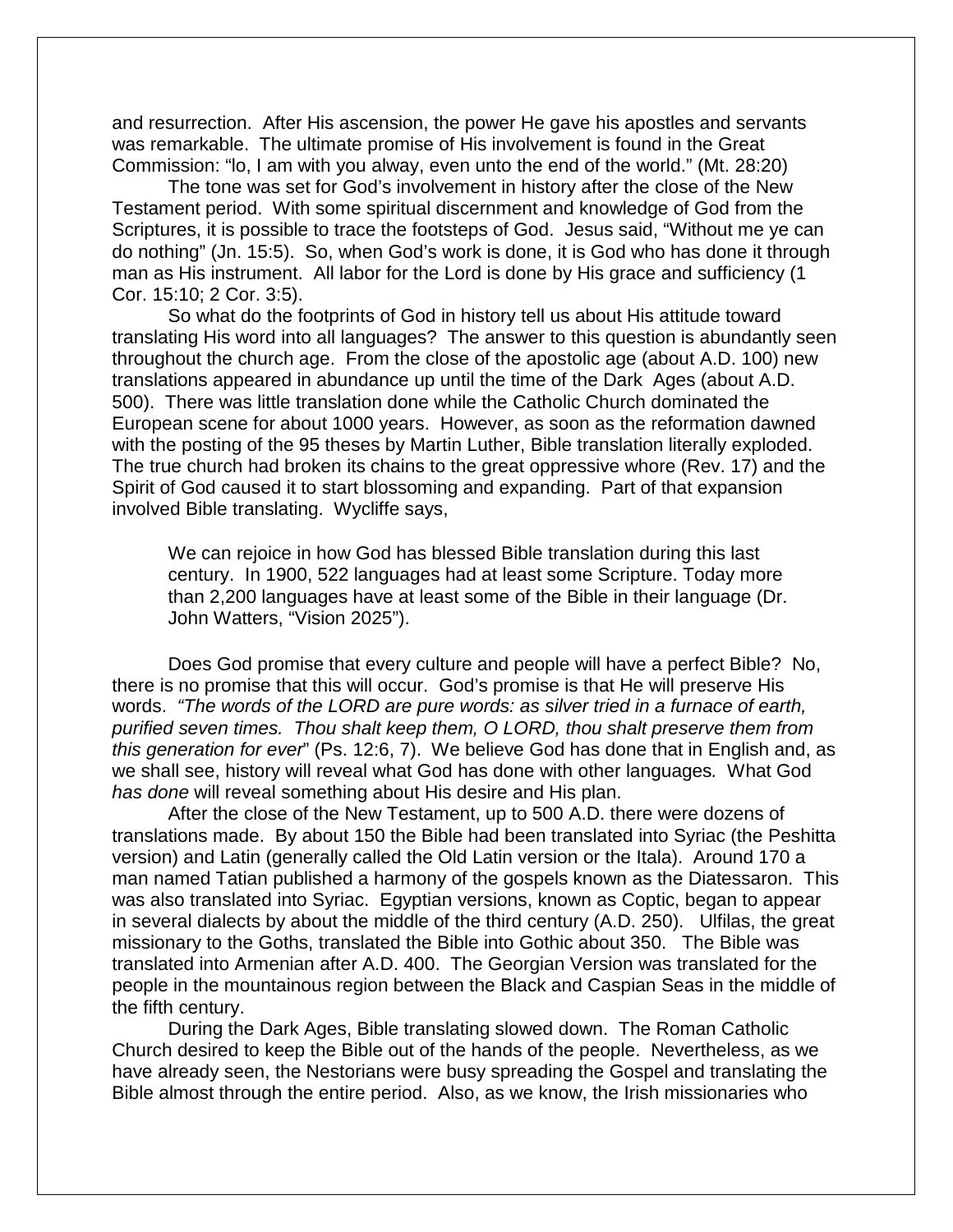and resurrection. After His ascension, the power He gave his apostles and servants was remarkable. The ultimate promise of His involvement is found in the Great Commission: "lo, I am with you alway, even unto the end of the world." (Mt. 28:20)

The tone was set for God's involvement in history after the close of the New Testament period. With some spiritual discernment and knowledge of God from the Scriptures, it is possible to trace the footsteps of God. Jesus said, "Without me ye can do nothing" (Jn. 15:5). So, when God's work is done, it is God who has done it through man as His instrument. All labor for the Lord is done by His grace and sufficiency (1 Cor. 15:10; 2 Cor. 3:5).

So what do the footprints of God in history tell us about His attitude toward translating His word into all languages? The answer to this question is abundantly seen throughout the church age. From the close of the apostolic age (about A.D. 100) new translations appeared in abundance up until the time of the Dark Ages (about A.D. 500). There was little translation done while the Catholic Church dominated the European scene for about 1000 years. However, as soon as the reformation dawned with the posting of the 95 theses by Martin Luther, Bible translation literally exploded. The true church had broken its chains to the great oppressive whore (Rev. 17) and the Spirit of God caused it to start blossoming and expanding. Part of that expansion involved Bible translating. Wycliffe says,

We can rejoice in how God has blessed Bible translation during this last century. In 1900, 522 languages had at least some Scripture. Today more than 2,200 languages have at least some of the Bible in their language (Dr. John Watters, "Vision 2025").

Does God promise that every culture and people will have a perfect Bible? No, there is no promise that this will occur. God's promise is that He will preserve His words. *"The words of the LORD are pure words: as silver tried in a furnace of earth, purified seven times. Thou shalt keep them, O LORD, thou shalt preserve them from this generation for ever*" (Ps. 12:6, 7). We believe God has done that in English and, as we shall see, history will reveal what God has done with other languages*.* What God *has done* will reveal something about His desire and His plan.

After the close of the New Testament, up to 500 A.D. there were dozens of translations made. By about 150 the Bible had been translated into Syriac (the Peshitta version) and Latin (generally called the Old Latin version or the Itala). Around 170 a man named Tatian published a harmony of the gospels known as the Diatessaron. This was also translated into Syriac. Egyptian versions, known as Coptic, began to appear in several dialects by about the middle of the third century (A.D. 250). Ulfilas, the great missionary to the Goths, translated the Bible into Gothic about 350. The Bible was translated into Armenian after A.D. 400. The Georgian Version was translated for the people in the mountainous region between the Black and Caspian Seas in the middle of the fifth century.

During the Dark Ages, Bible translating slowed down. The Roman Catholic Church desired to keep the Bible out of the hands of the people. Nevertheless, as we have already seen, the Nestorians were busy spreading the Gospel and translating the Bible almost through the entire period. Also, as we know, the Irish missionaries who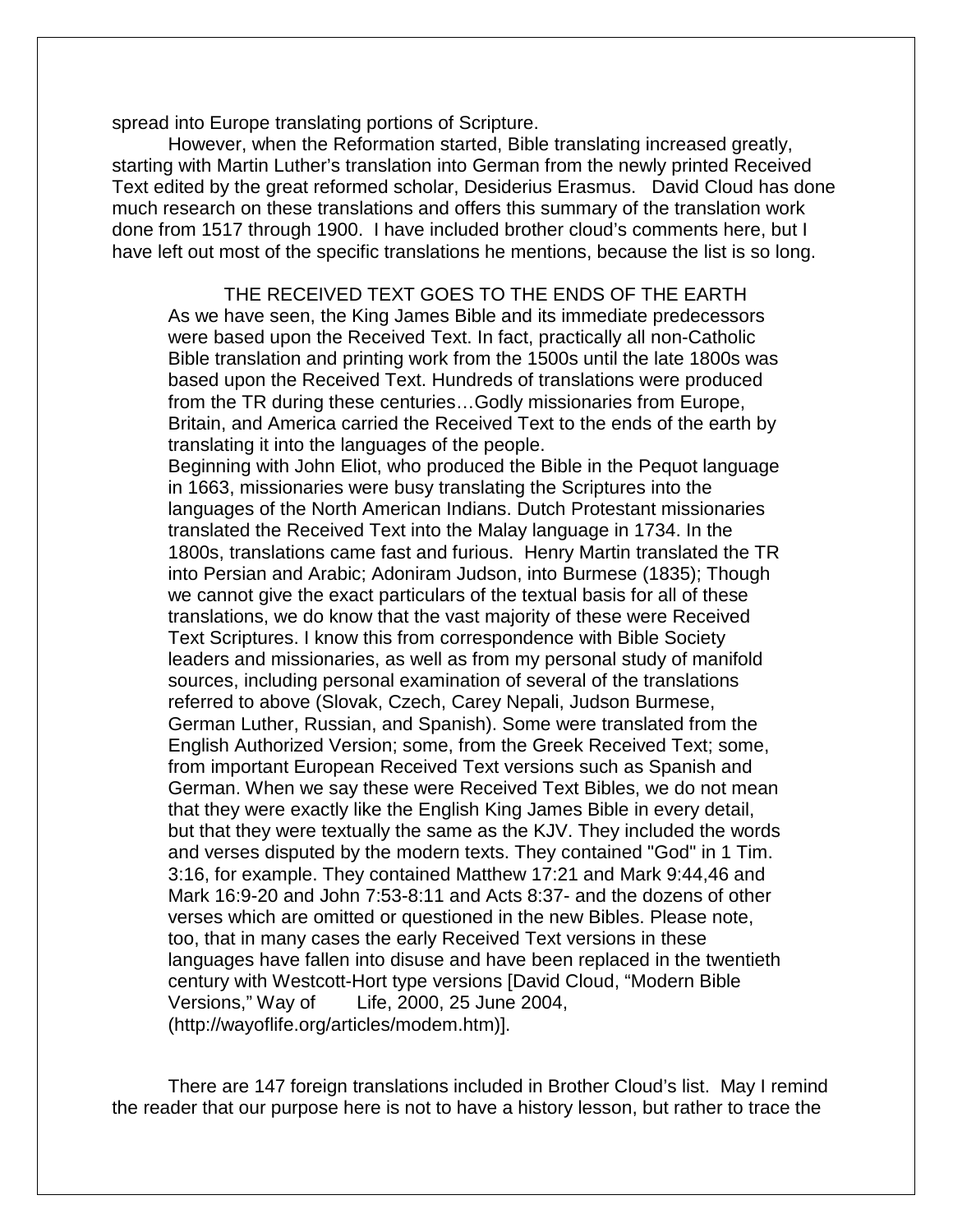spread into Europe translating portions of Scripture.

However, when the Reformation started, Bible translating increased greatly, starting with Martin Luther's translation into German from the newly printed Received Text edited by the great reformed scholar, Desiderius Erasmus. David Cloud has done much research on these translations and offers this summary of the translation work done from 1517 through 1900. I have included brother cloud's comments here, but I have left out most of the specific translations he mentions, because the list is so long.

THE RECEIVED TEXT GOES TO THE ENDS OF THE EARTH As we have seen, the King James Bible and its immediate predecessors were based upon the Received Text. In fact, practically all non-Catholic Bible translation and printing work from the 1500s until the late 1800s was based upon the Received Text. Hundreds of translations were produced from the TR during these centuries…Godly missionaries from Europe, Britain, and America carried the Received Text to the ends of the earth by translating it into the languages of the people. Beginning with John Eliot, who produced the Bible in the Pequot language in 1663, missionaries were busy translating the Scriptures into the languages of the North American Indians. Dutch Protestant missionaries

translated the Received Text into the Malay language in 1734. In the 1800s, translations came fast and furious. Henry Martin translated the TR into Persian and Arabic; Adoniram Judson, into Burmese (1835); Though we cannot give the exact particulars of the textual basis for all of these translations, we do know that the vast majority of these were Received Text Scriptures. I know this from correspondence with Bible Society leaders and missionaries, as well as from my personal study of manifold sources, including personal examination of several of the translations referred to above (Slovak, Czech, Carey Nepali, Judson Burmese, German Luther, Russian, and Spanish). Some were translated from the English Authorized Version; some, from the Greek Received Text; some, from important European Received Text versions such as Spanish and German. When we say these were Received Text Bibles, we do not mean that they were exactly like the English King James Bible in every detail, but that they were textually the same as the KJV. They included the words and verses disputed by the modern texts. They contained "God" in 1 Tim. 3:16, for example. They contained Matthew 17:21 and Mark 9:44,46 and Mark 16:9-20 and John 7:53-8:11 and Acts 8:37- and the dozens of other verses which are omitted or questioned in the new Bibles. Please note, too, that in many cases the early Received Text versions in these languages have fallen into disuse and have been replaced in the twentieth century with Westcott-Hort type versions [David Cloud, "Modern Bible Versions," Way of Life, 2000, 25 June 2004, (http://wayoflife.org/articles/modem.htm)].

There are 147 foreign translations included in Brother Cloud's list. May I remind the reader that our purpose here is not to have a history lesson, but rather to trace the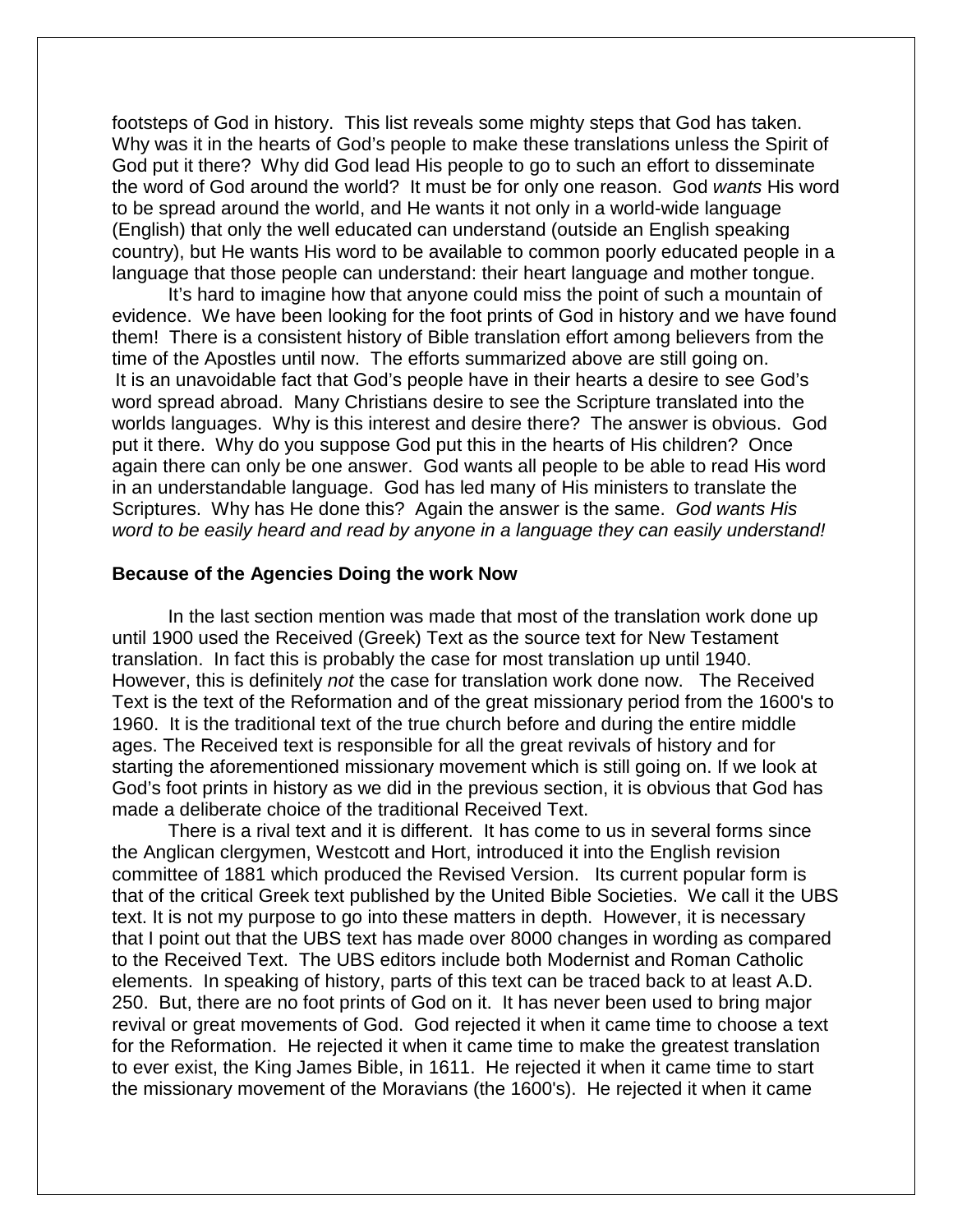footsteps of God in history. This list reveals some mighty steps that God has taken. Why was it in the hearts of God's people to make these translations unless the Spirit of God put it there? Why did God lead His people to go to such an effort to disseminate the word of God around the world? It must be for only one reason. God *wants* His word to be spread around the world, and He wants it not only in a world-wide language (English) that only the well educated can understand (outside an English speaking country), but He wants His word to be available to common poorly educated people in a language that those people can understand: their heart language and mother tongue.

It's hard to imagine how that anyone could miss the point of such a mountain of evidence. We have been looking for the foot prints of God in history and we have found them! There is a consistent history of Bible translation effort among believers from the time of the Apostles until now. The efforts summarized above are still going on. It is an unavoidable fact that God's people have in their hearts a desire to see God's word spread abroad. Many Christians desire to see the Scripture translated into the worlds languages. Why is this interest and desire there? The answer is obvious. God put it there. Why do you suppose God put this in the hearts of His children? Once again there can only be one answer. God wants all people to be able to read His word in an understandable language. God has led many of His ministers to translate the Scriptures. Why has He done this? Again the answer is the same. *God wants His word to be easily heard and read by anyone in a language they can easily understand!*

#### **Because of the Agencies Doing the work Now**

In the last section mention was made that most of the translation work done up until 1900 used the Received (Greek) Text as the source text for New Testament translation. In fact this is probably the case for most translation up until 1940. However, this is definitely *not* the case for translation work done now. The Received Text is the text of the Reformation and of the great missionary period from the 1600's to 1960. It is the traditional text of the true church before and during the entire middle ages. The Received text is responsible for all the great revivals of history and for starting the aforementioned missionary movement which is still going on. If we look at God's foot prints in history as we did in the previous section, it is obvious that God has made a deliberate choice of the traditional Received Text.

There is a rival text and it is different. It has come to us in several forms since the Anglican clergymen, Westcott and Hort, introduced it into the English revision committee of 1881 which produced the Revised Version. Its current popular form is that of the critical Greek text published by the United Bible Societies. We call it the UBS text. It is not my purpose to go into these matters in depth. However, it is necessary that I point out that the UBS text has made over 8000 changes in wording as compared to the Received Text. The UBS editors include both Modernist and Roman Catholic elements. In speaking of history, parts of this text can be traced back to at least A.D. 250. But, there are no foot prints of God on it. It has never been used to bring major revival or great movements of God. God rejected it when it came time to choose a text for the Reformation. He rejected it when it came time to make the greatest translation to ever exist, the King James Bible, in 1611. He rejected it when it came time to start the missionary movement of the Moravians (the 1600's). He rejected it when it came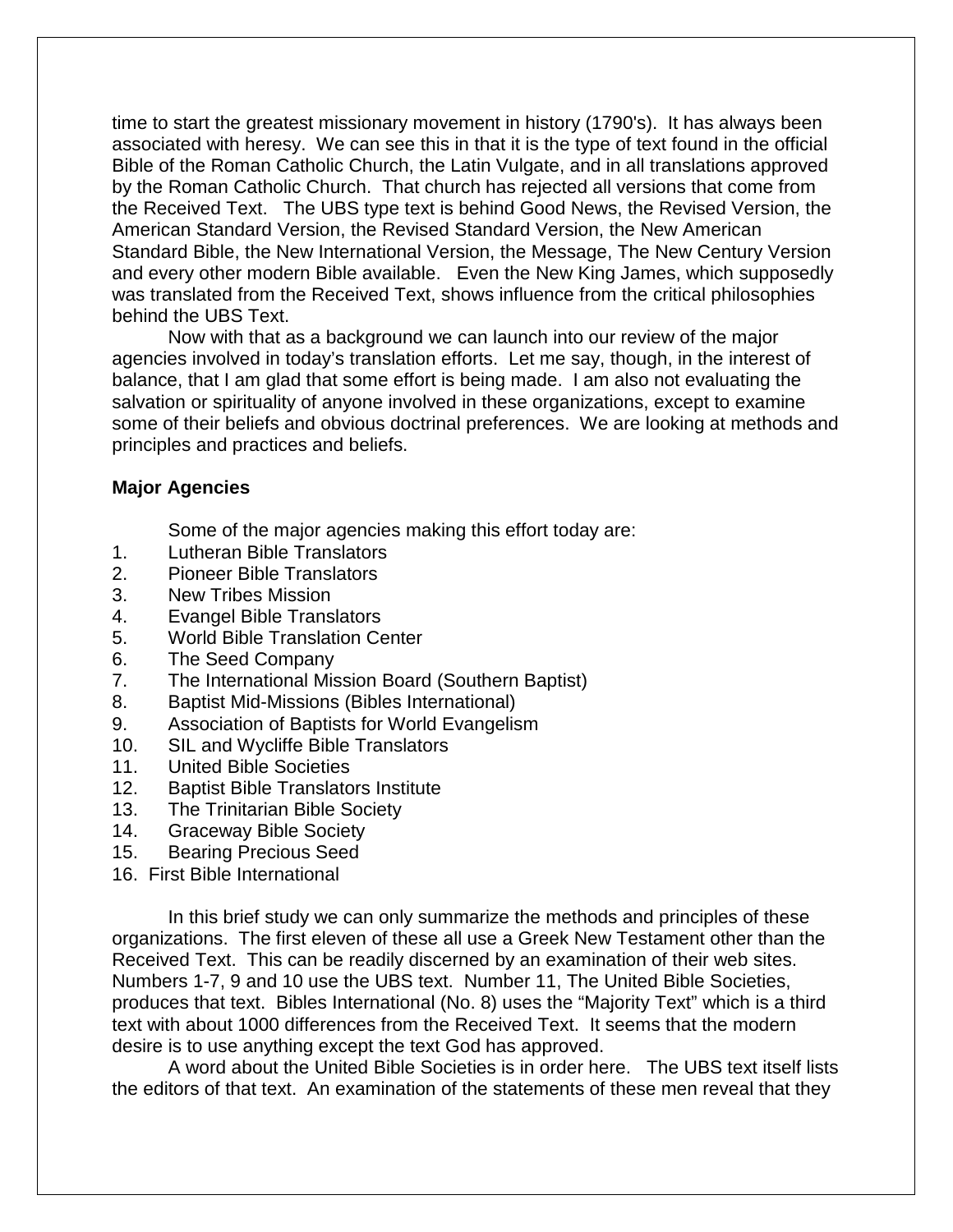time to start the greatest missionary movement in history (1790's). It has always been associated with heresy. We can see this in that it is the type of text found in the official Bible of the Roman Catholic Church, the Latin Vulgate, and in all translations approved by the Roman Catholic Church. That church has rejected all versions that come from the Received Text. The UBS type text is behind Good News, the Revised Version, the American Standard Version, the Revised Standard Version, the New American Standard Bible, the New International Version, the Message, The New Century Version and every other modern Bible available. Even the New King James, which supposedly was translated from the Received Text, shows influence from the critical philosophies behind the UBS Text.

Now with that as a background we can launch into our review of the major agencies involved in today's translation efforts. Let me say, though, in the interest of balance, that I am glad that some effort is being made. I am also not evaluating the salvation or spirituality of anyone involved in these organizations, except to examine some of their beliefs and obvious doctrinal preferences. We are looking at methods and principles and practices and beliefs.

# **Major Agencies**

Some of the major agencies making this effort today are:

- 1. Lutheran Bible Translators
- 2. Pioneer Bible Translators
- 3. New Tribes Mission
- 4. Evangel Bible Translators
- 5. World Bible Translation Center
- 6. The Seed Company
- 7. The International Mission Board (Southern Baptist)
- 8. Baptist Mid-Missions (Bibles International)
- 9. Association of Baptists for World Evangelism
- 10. SIL and Wycliffe Bible Translators
- 11. United Bible Societies
- 12. Baptist Bible Translators Institute
- 13. The Trinitarian Bible Society
- 14. Graceway Bible Society
- 15. Bearing Precious Seed
- 16. First Bible International

In this brief study we can only summarize the methods and principles of these organizations. The first eleven of these all use a Greek New Testament other than the Received Text. This can be readily discerned by an examination of their web sites. Numbers 1-7, 9 and 10 use the UBS text. Number 11, The United Bible Societies, produces that text. Bibles International (No. 8) uses the "Majority Text" which is a third text with about 1000 differences from the Received Text. It seems that the modern desire is to use anything except the text God has approved.

A word about the United Bible Societies is in order here. The UBS text itself lists the editors of that text. An examination of the statements of these men reveal that they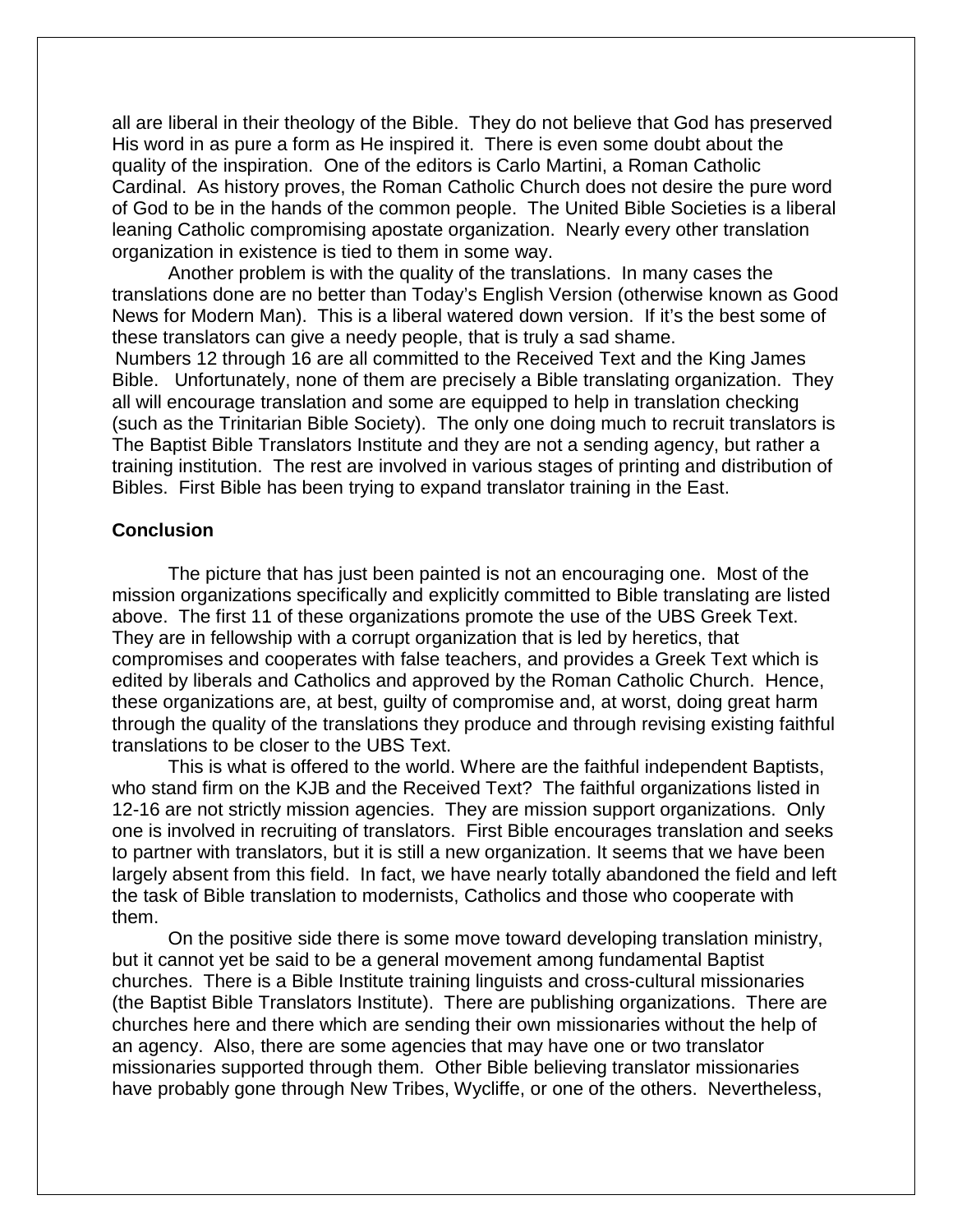all are liberal in their theology of the Bible. They do not believe that God has preserved His word in as pure a form as He inspired it. There is even some doubt about the quality of the inspiration. One of the editors is Carlo Martini, a Roman Catholic Cardinal. As history proves, the Roman Catholic Church does not desire the pure word of God to be in the hands of the common people. The United Bible Societies is a liberal leaning Catholic compromising apostate organization. Nearly every other translation organization in existence is tied to them in some way.

Another problem is with the quality of the translations. In many cases the translations done are no better than Today's English Version (otherwise known as Good News for Modern Man). This is a liberal watered down version. If it's the best some of these translators can give a needy people, that is truly a sad shame.

Numbers 12 through 16 are all committed to the Received Text and the King James Bible. Unfortunately, none of them are precisely a Bible translating organization. They all will encourage translation and some are equipped to help in translation checking (such as the Trinitarian Bible Society). The only one doing much to recruit translators is The Baptist Bible Translators Institute and they are not a sending agency, but rather a training institution. The rest are involved in various stages of printing and distribution of Bibles. First Bible has been trying to expand translator training in the East.

## **Conclusion**

The picture that has just been painted is not an encouraging one. Most of the mission organizations specifically and explicitly committed to Bible translating are listed above. The first 11 of these organizations promote the use of the UBS Greek Text. They are in fellowship with a corrupt organization that is led by heretics, that compromises and cooperates with false teachers, and provides a Greek Text which is edited by liberals and Catholics and approved by the Roman Catholic Church. Hence, these organizations are, at best, guilty of compromise and, at worst, doing great harm through the quality of the translations they produce and through revising existing faithful translations to be closer to the UBS Text.

This is what is offered to the world. Where are the faithful independent Baptists, who stand firm on the KJB and the Received Text? The faithful organizations listed in 12-16 are not strictly mission agencies. They are mission support organizations. Only one is involved in recruiting of translators. First Bible encourages translation and seeks to partner with translators, but it is still a new organization. It seems that we have been largely absent from this field. In fact, we have nearly totally abandoned the field and left the task of Bible translation to modernists, Catholics and those who cooperate with them.

On the positive side there is some move toward developing translation ministry, but it cannot yet be said to be a general movement among fundamental Baptist churches. There is a Bible Institute training linguists and cross-cultural missionaries (the Baptist Bible Translators Institute). There are publishing organizations. There are churches here and there which are sending their own missionaries without the help of an agency. Also, there are some agencies that may have one or two translator missionaries supported through them. Other Bible believing translator missionaries have probably gone through New Tribes, Wycliffe, or one of the others. Nevertheless,